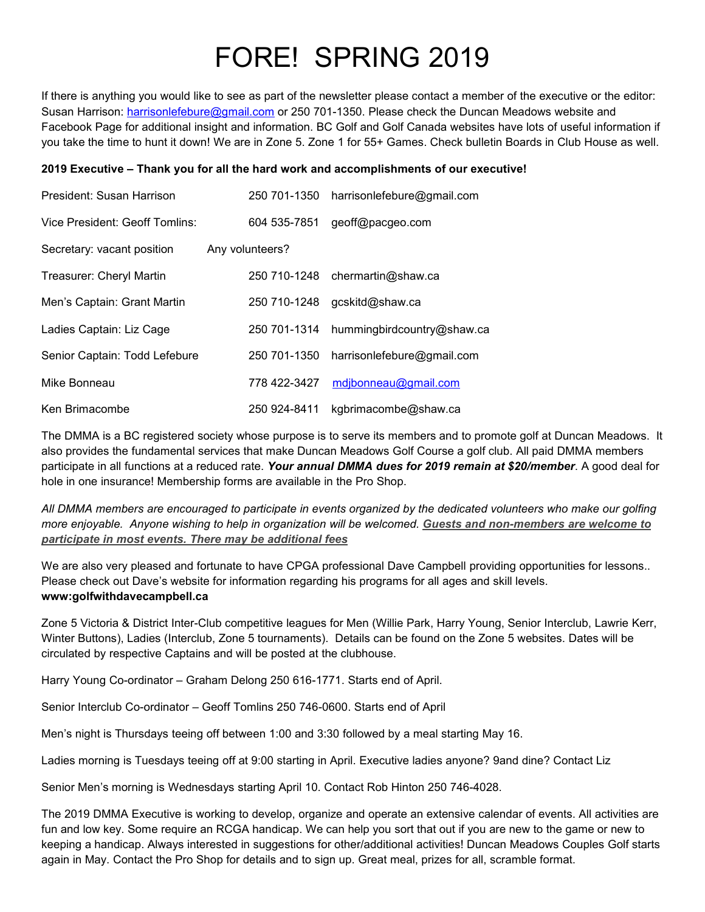## FORE! SPRING 2019

If there is anything you would like to see as part of the newsletter please contact a member of the executive or the editor: Susan Harrison: [harrisonlefebure@gmail.com](mailto:harrisonlefebure@gmail.com) or 250 701-1350. Please check the Duncan Meadows website and Facebook Page for additional insight and information. BC Golf and Golf Canada websites have lots of useful information if you take the time to hunt it down! We are in Zone 5. Zone 1 for 55+ Games. Check bulletin Boards in Club House as well.

## **2019 Executive – Thank you for all the hard work and accomplishments of ourexecutive!**

| President: Susan Harrison       | 250 701-1350    | harrisonlefebure@gmail.com        |
|---------------------------------|-----------------|-----------------------------------|
| Vice President: Geoff Tomlins:  | 604 535-7851    | geoff@pacgeo.com                  |
| Secretary: vacant position      | Any volunteers? |                                   |
| <b>Treasurer: Cheryl Martin</b> |                 | $250$ 710-1248 chermartin@shaw.ca |
| Men's Captain: Grant Martin     | 250 710-1248    | gcskitd@shaw.ca                   |
| Ladies Captain: Liz Cage        | 250 701-1314    | hummingbirdcountry@shaw.ca        |
| Senior Captain: Todd Lefebure   | 250 701-1350    | harrisonlefebure@gmail.com        |
| Mike Bonneau                    | 778 422-3427    | mdjbonneau@gmail.com              |
| Ken Brimacombe                  | 250 924-8411    | kgbrimacombe@shaw.ca              |

The DMMA is a BC registered society whose purpose is to serve its members and to promote golf at Duncan Meadows. It also provides the fundamental services that make Duncan Meadows Golf Course a golf club. All paid DMMA members participate in all functions at a reduced rate. *Your annual DMMA dues for 2019 remain at \$20/member*. A good deal for hole in one insurance! Membership forms are available in the Pro Shop.

All DMMA members are encouraged to participate in events organized by the dedicated volunteers who make our golfing more enjoyable. Anyone wishing to help in organization will be welcomed. Guests and non-members are welcome to *participate in most events. There may be additional fees*

We are also very pleased and fortunate to have CPGA professional Dave Campbell providing opportunities for lessons.. Please check out Dave's website for information regarding his programs for all ages and skill levels. **www:golfwithdavecampbell.ca**

Zone 5 Victoria & District Inter-Club competitive leagues for Men (Willie Park, Harry Young, Senior Interclub, Lawrie Kerr, Winter Buttons), Ladies (Interclub, Zone 5 tournaments). Details can be found on the Zone 5 websites. Dates will be circulated by respective Captains and will be posted at the clubhouse.

Harry Young Co-ordinator – Graham Delong 250 616-1771. Starts end of April.

Senior Interclub Co-ordinator – Geoff Tomlins 250 746-0600. Starts end of April

Men's night is Thursdays teeing off between 1:00 and 3:30 followed by a meal starting May 16.

Ladies morning is Tuesdays teeing off at 9:00 starting in April. Executive ladies anyone? 9and dine? Contact Liz

Senior Men's morning is Wednesdays starting April 10. Contact Rob Hinton 250 746-4028.

The 2019 DMMA Executive is working to develop, organize and operate an extensive calendar ofevents. All activities are fun and low key. Some require an RCGA handicap. We can help you sort that out if you are new to the game or new to keeping a handicap. Always interested in suggestions for other/additional activities! Duncan Meadows Couples Golf starts again in May. Contact the Pro Shop for details and to sign up. Great meal, prizes for all, scramble format.